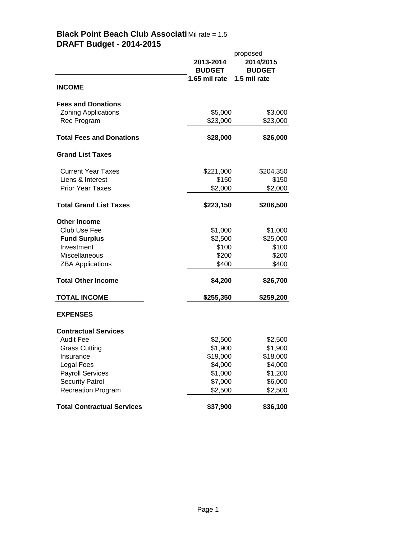|                                          | 2013-2014<br><b>BUDGET</b><br>1.65 mil rate | proposed<br>2014/2015<br><b>BUDGET</b><br>1.5 mil rate |
|------------------------------------------|---------------------------------------------|--------------------------------------------------------|
| <b>INCOME</b>                            |                                             |                                                        |
| <b>Fees and Donations</b>                |                                             |                                                        |
| <b>Zoning Applications</b>               | \$5,000                                     | \$3,000                                                |
| Rec Program                              | \$23,000                                    | \$23,000                                               |
| <b>Total Fees and Donations</b>          | \$28,000                                    | \$26,000                                               |
| <b>Grand List Taxes</b>                  |                                             |                                                        |
| <b>Current Year Taxes</b>                | \$221,000                                   | \$204,350                                              |
| Liens & Interest                         | \$150                                       | \$150                                                  |
| <b>Prior Year Taxes</b>                  | \$2,000                                     | \$2,000                                                |
| <b>Total Grand List Taxes</b>            | \$223,150                                   | \$206,500                                              |
| <b>Other Income</b>                      |                                             |                                                        |
| Club Use Fee                             | \$1,000                                     | \$1,000                                                |
| <b>Fund Surplus</b>                      | \$2,500                                     | \$25,000                                               |
| Investment                               | \$100                                       | \$100                                                  |
| Miscellaneous<br><b>ZBA Applications</b> | \$200<br>\$400                              | \$200<br>\$400                                         |
|                                          |                                             |                                                        |
| <b>Total Other Income</b>                | \$4,200                                     | \$26,700                                               |
| <b>TOTAL INCOME</b>                      | \$255,350                                   | \$259,200                                              |
| <b>EXPENSES</b>                          |                                             |                                                        |
| <b>Contractual Services</b>              |                                             |                                                        |
| <b>Audit Fee</b>                         | \$2,500                                     | \$2,500                                                |
| <b>Grass Cutting</b>                     | \$1,900                                     | \$1,900                                                |
| Insurance                                | \$19,000                                    | \$18,000                                               |
| Legal Fees<br><b>Payroll Services</b>    | \$4,000<br>\$1,000                          | \$4,000<br>\$1,200                                     |
| <b>Security Patrol</b>                   |                                             |                                                        |
| <b>Recreation Program</b>                | \$7,000<br>\$2,500                          | \$6,000<br>\$2,500                                     |
|                                          |                                             |                                                        |
| <b>Total Contractual Services</b>        | \$37,900                                    | \$36,100                                               |

## **Black Point Beach Club Associati** Mil rate = 1.5 **DRAFT Budget - 2014-2015**